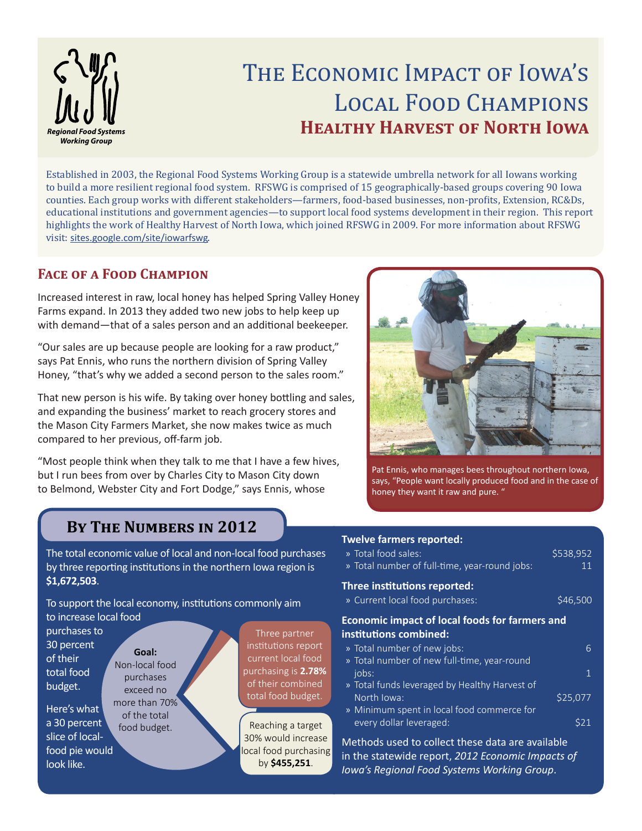

# THE ECONOMIC IMPACT OF IOWA'S Local Food Champions **HEALTHY HARVEST OF NORTH IOWA**

Established in 2003, the Regional Food Systems Working Group is a statewide umbrella network for all Iowans working to build a more resilient regional food system. RFSWG is comprised of 15 geographically-based groups covering 90 Iowa counties. Each group works with different stakeholders—farmers, food-based businesses, non-profits, Extension, RC&Ds, educational institutions and government agencies—to support local food systems development in their region. This report highlights the work of Healthy Harvest of North Iowa, which joined RFSWG in 2009. For more information about RFSWG visit: sites.google.com/site/iowarfswg.

#### **Face of a Food Champion**

Increased interest in raw, local honey has helped Spring Valley Honey Farms expand. In 2013 they added two new jobs to help keep up with demand—that of a sales person and an additional beekeeper.

"Our sales are up because people are looking for a raw product," says Pat Ennis, who runs the northern division of Spring Valley Honey, "that's why we added a second person to the sales room."

That new person is his wife. By taking over honey bottling and sales, and expanding the business' market to reach grocery stores and the Mason City Farmers Market, she now makes twice as much compared to her previous, off-farm job.

"Most people think when they talk to me that I have a few hives, but I run bees from over by Charles City to Mason City down to Belmond, Webster City and Fort Dodge," says Ennis, whose



Pat Ennis, who manages bees throughout northern Iowa, says, "People want locally produced food and in the case of honey they want it raw and pure. "

## **By The Numbers in 2012**

The total economic value of local and non-local food purchases by three reporting institutions in the northern Iowa region is **\$1,672,503**.

To support the local economy, institutions commonly aim to increase local food

purchases to 30 percent of their total food budget.

Here's what a 30 percent slice of localfood pie would look like.

**Goal:** Non-local food purchases exceed no more than 70% of the total food budget. **Reaching a target** 

Three partner institutions report current local food purchasing is **2.78%**  of their combined total food budget.

30% would increase ocal food purchasing by **\$455,251**.

#### **Twelve farmers reported:**

| » Total food sales:<br>» Total number of full-time, year-round jobs:            | \$538,952<br>11 |  |  |
|---------------------------------------------------------------------------------|-----------------|--|--|
| <b>Three institutions reported:</b><br>» Current local food purchases:          | \$46,500        |  |  |
| <b>Economic impact of local foods for farmers and</b><br>institutions combined: |                 |  |  |

| » Total number of new jobs:                   |          |
|-----------------------------------------------|----------|
| » Total number of new full-time, year-round   |          |
| jobs:                                         |          |
| » Total funds leveraged by Healthy Harvest of |          |
| North Iowa:                                   | \$25,077 |
| » Minimum spent in local food commerce for    |          |
| every dollar leveraged:                       |          |

Methods used to collect these data are available in the statewide report, *2012 Economic Impacts of Iowa's Regional Food Systems Working Group*.